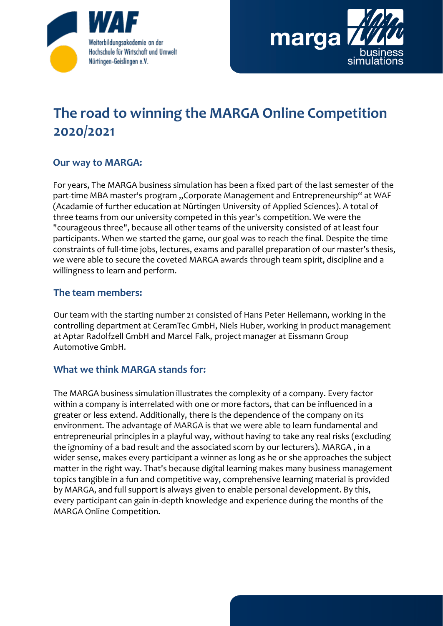



# **The road to winning the MARGA Online Competition 2020/2021**

## **Our way to MARGA:**

For years, The MARGA business simulation has been a fixed part of the last semester of the part-time MBA master's program "Corporate Management and Entrepreneurship" at WAF (Acadamie of further education at Nürtingen University of Applied Sciences). A total of three teams from our university competed in this year's competition. We were the "courageous three", because all other teams of the university consisted of at least four participants. When we started the game, our goal was to reach the final. Despite the time constraints of full-time jobs, lectures, exams and parallel preparation of our master's thesis, we were able to secure the coveted MARGA awards through team spirit, discipline and a willingness to learn and perform.

### **The team members:**

Our team with the starting number 21 consisted of Hans Peter Heilemann, working in the controlling department at CeramTec GmbH, Niels Huber, working in product management at Aptar Radolfzell GmbH and Marcel Falk, project manager at Eissmann Group Automotive GmbH.

#### **What we think MARGA stands for:**

The MARGA business simulation illustrates the complexity of a company. Every factor within a company is interrelated with one or more factors, that can be influenced in a greater or less extend. Additionally, there is the dependence of the company on its environment. The advantage of MARGA is that we were able to learn fundamental and entrepreneurial principles in a playful way, without having to take any real risks (excluding the ignominy of a bad result and the associated scorn by our lecturers). MARGA , in a wider sense, makes every participant a winner as long as he or she approaches the subject matter in the right way. That's because digital learning makes many business management topics tangible in a fun and competitive way, comprehensive learning material is provided by MARGA, and full support is always given to enable personal development. By this, every participant can gain in-depth knowledge and experience during the months of the MARGA Online Competition.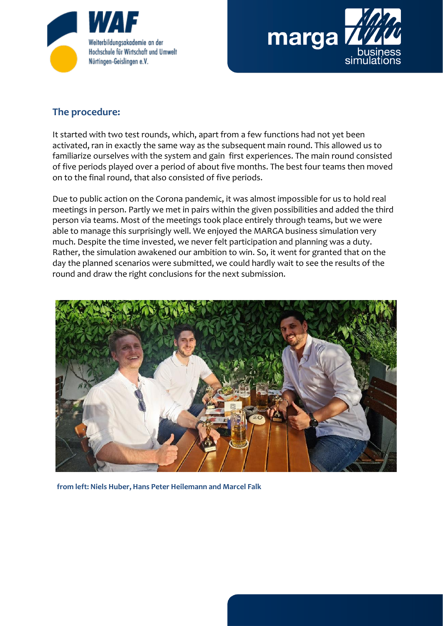



## **The procedure:**

It started with two test rounds, which, apart from a few functions had not yet been activated, ran in exactly the same way as the subsequent main round. This allowed us to familiarize ourselves with the system and gain first experiences. The main round consisted of five periods played over a period of about five months. The best four teams then moved on to the final round, that also consisted of five periods.

Due to public action on the Corona pandemic, it was almost impossible for us to hold real meetings in person. Partly we met in pairs within the given possibilities and added the third person via teams. Most of the meetings took place entirely through teams, but we were able to manage this surprisingly well. We enjoyed the MARGA business simulation very much. Despite the time invested, we never felt participation and planning was a duty. Rather, the simulation awakened our ambition to win. So, it went for granted that on the day the planned scenarios were submitted, we could hardly wait to see the results of the round and draw the right conclusions for the next submission.



**from left: Niels Huber, Hans Peter Heilemann and Marcel Falk**